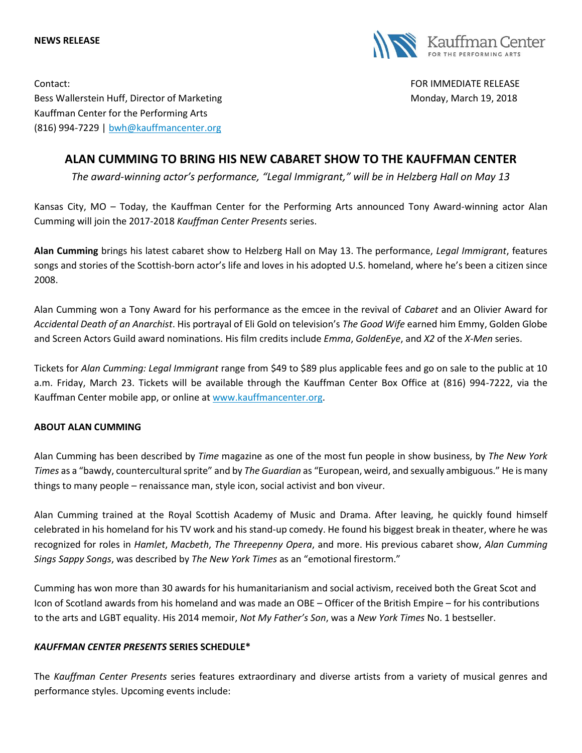



Contact: FOR IMMEDIATE RELEASE Bess Wallerstein Huff, Director of Marketing Monday, Monday, March 19, 2018 Kauffman Center for the Performing Arts (816) 994-7229 | [bwh@kauffmancenter.org](mailto:bwh@kauffmancenter.org)

# **ALAN CUMMING TO BRING HIS NEW CABARET SHOW TO THE KAUFFMAN CENTER**

*The award-winning actor's performance, "Legal Immigrant," will be in Helzberg Hall on May 13*

Kansas City, MO – Today, the Kauffman Center for the Performing Arts announced Tony Award-winning actor Alan Cumming will join the 2017-2018 *Kauffman Center Presents* series.

**Alan Cumming** brings his latest cabaret show to Helzberg Hall on May 13. The performance, *Legal Immigrant*, features songs and stories of the Scottish-born actor's life and loves in his adopted U.S. homeland, where he's been a citizen since 2008.

Alan Cumming won a Tony Award for his performance as the emcee in the revival of *Cabaret* and an Olivier Award for *Accidental Death of an Anarchist*. His portrayal of Eli Gold on television's *The Good Wife* earned him Emmy, Golden Globe and Screen Actors Guild award nominations. His film credits include *Emma*, *GoldenEye*, and *X2* of the *X-Men* series.

Tickets for *Alan Cumming: Legal Immigrant* range from \$49 to \$89 plus applicable fees and go on sale to the public at 10 a.m. Friday, March 23. Tickets will be available through the Kauffman Center Box Office at (816) 994-7222, via the Kauffman Center mobile app, or online at [www.kauffmancenter.org.](http://www.kauffmancenter.org/)

# **ABOUT ALAN CUMMING**

Alan Cumming has been described by *Time* magazine as one of the most fun people in show business, by *The New York Times* as a "bawdy, countercultural sprite" and by *The Guardian* as "European, weird, and sexually ambiguous." He is many things to many people – renaissance man, style icon, social activist and bon viveur.

Alan Cumming trained at the Royal Scottish Academy of Music and Drama. After leaving, he quickly found himself celebrated in his homeland for his TV work and his stand-up comedy. He found his biggest break in theater, where he was recognized for roles in *Hamlet*, *Macbeth*, *The Threepenny Opera*, and more. His previous cabaret show, *Alan Cumming Sings Sappy Songs*, was described by *The New York Times* as an "emotional firestorm."

Cumming has won more than 30 awards for his humanitarianism and social activism, received both the Great Scot and Icon of Scotland awards from his homeland and was made an OBE – Officer of the British Empire – for his contributions to the arts and LGBT equality. His 2014 memoir, *Not My Father's Son*, was a *New York Times* No. 1 bestseller.

# *KAUFFMAN CENTER PRESENTS* **SERIES SCHEDULE\***

The *Kauffman Center Presents* series features extraordinary and diverse artists from a variety of musical genres and performance styles. Upcoming events include: